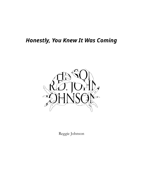# *Honestly, You Knew It Was Coming*



Reggie Johnson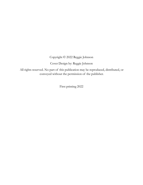Copyright © 2022 Reggie Johnson

Cover Design by: Reggie Johnson

All rights reserved. No part of this publication may be reproduced, distributed, or conveyed without the permission of the publisher.

First printing 2022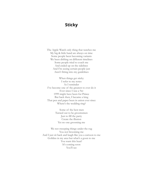## **Sticky**

The Apple Watch only thing that watches me My big & little hand are always on time Some people been becoming variants We been drifting on different timelines Some people tried to coach me And ended up on the sidelines And I'm seeing certain people just Aren't fitting into my guidelines

When things get sticky I refer to my notes As I reminder I've become one of the greatest to ever do it Ever since I was a 9er 1999 might have been for Prince But back then, I became a king That pen and paper been in union ever since Where's the wedding ring?

> Some of the best men Turned out to be groomsmen Just to fill the party Create the illusion Yet no one grooming me

We not sweeping things under the rug You not brooming me And I just sit back and laugh like you a cartoon to me Goblins in my area but what's a goon to me You want this heat? It's coming soon You'll see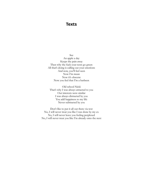## **Texts**

See

An apple a day Keeps the pain away Then why the fuck your texts go green All that's doing is calling out your emotions And now, you'll feel seen Now I'm mean Now it's obscene Now you feel that I'm a hasbeen

Old school Nicki That's why I was always attracted to you Our interests were similar I was always distracted by you You add happiness to my life Never subtracted by you

Don't like to put it all out there via text No, I will never treat you like I was done by my ex No, I will never leave you feeling perplexed No, I will never treat you like I'm already onto the next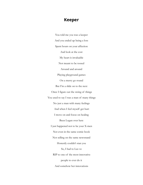### **Keeper**

You told me you was a keeper And you ended up being a loss Spent hours on your affection And look at the cost My heart is invaluable Not meant to be tossed Around and around Playing playground games On a merry go round But I'm a slide on to the next Once I figure out the swing of things You used to say I was a man of many things No just a man with many feelings And when I feel myself get hurt I move on and focus on healing Been Logan over here I just happened not to be your X-men Not even in the same comic book Not selling on the same newsstand Honestly couldn't stan you So, I had to Lee-ve RIP to one of the most innovative people to ever do it And somehow her innovations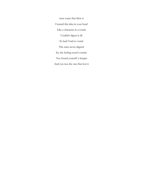were some that blew it Created this idea in your head Like a character in a comic Couldn't digest it all So bad I had to vomit The stars never aligned So, the feeling wasn't cosmic You found yourself a keeper And you was the one that lost it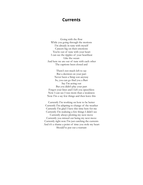#### **Currents**

Going with the flow While you going through the motions I'm already in tune with myself Cancers big on their emotions You're out of tune with your heart I can see the ripples of your heartbeat Like the ocean And here we are out of tune with each other The captions been closed and

There's not much left to say But a decision on your part Never been a Simp son anyway So, you can go find you a Bart Say I'm acting out But you didn't play your part Forgot your lines and I left you speechless Now I can see I was more than a weakness Now I'm a say few things and then leave this

Currently I'm working on how to be better Currently I'm adapting to change of the weather Currently I'm glad I have this time here for me Currently I'm realizing a few things I didn't see Currently always plotting my next move Currently you missed out being my next move Currently right now I'm just catching the currents And it's a shame a point of time you stole my heart Should've put out a warrant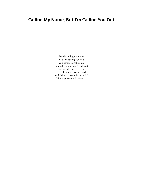# **Calling My Name, But I'm Calling You Out**

Steady calling my name But I'm calling you out You swung for the stars And all you did was struck out You struck a nerve in me That I didn't know existed And I don't know what to think The opportunity I missed it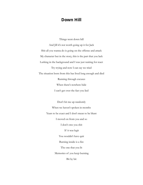### **Down Hill**

Things went down hill

And Jill it's not worth going up it for Jack Shit all you wanna do is going on the offense and attack My character but in the story, this is the part that you lack Lurking in the background and I was just waiting for react Try trying and now I can say we tried The situation born from this has lived long enough and died Running through excuses When there's nowhere hide I can't get over the fact you lied

> Don't hit me up randomly When we haven't spoken in months Years to be exact and I don't mean to be blunt I moved on from you and so I don't owe you shit If it was legit You wouldn't have quit Burning inside is a fire The one that you lit Memories of you keep burning Bit by bit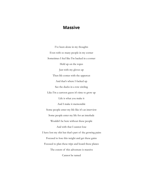## **Massive**

I've been alone in my thoughts Even with so many people in my corner Sometimes I feel like I'm backed in a corner Held up on the ropes Just with my gloves up Then life comes with the uppercut And that's where I fucked up See the ducks in a row circling Like I'm a cartoon guess it's time to grow up Life is what you make it And I make it memorable Some people enter my life like it's an interview Some people enter my life for an interlude Wouldn't be here without these people And with that I cannot lose I have lost my shit but that's part of the growing pains Focused to lose this weight and get these gains Focused to plan these trips and board these planes The extent of this adventure is massive Cannot be tamed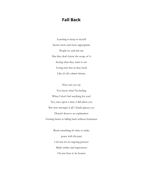# **Fall Back**

Learning to keep to myself Seems more and more appropriate People try and tele me But they don't know the scope of it Seeing what they want to see Living rent free in they head Like it's all a damn fantasy

How can you say You know what I'm feeling When I don't feel anything for you? Yes, once upon a time, I did adore you But now amongst it all, I kinda ignore you Doesn't deserve an explanation Getting better at falling back without hesitation

> Read something it's time to make peace with the past I do but it's an ongoing process Made strides and regressions I'm just here to be honest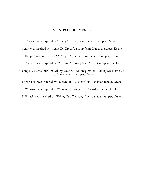#### **ACKNOWLEDGEMENTS**

'Sticky' was inspired by "Sticky", a song from Canadian rapper, Drake

'Texts' was inspired by "Texts Go Green", a song from Canadian rapper, Drake 'Keeper' was inspired by "A Keeper", a song from Canadian rapper, Drake 'Currents' was inspired by "Currents", a song from Canadian rapper, Drake 'Calling My Name, But I'm Calling You Out' was inspired by "Calling My Name", a song from Canadian rapper, Drake 'Down Hill' was inspired by "Down Hill", a song from Canadian rapper, Drake 'Massive' was inspired by "Massive", a song from Canadian rapper, Drake

'Fall Back' was inspired by "Falling Back", a song from Canadian rapper, Drake